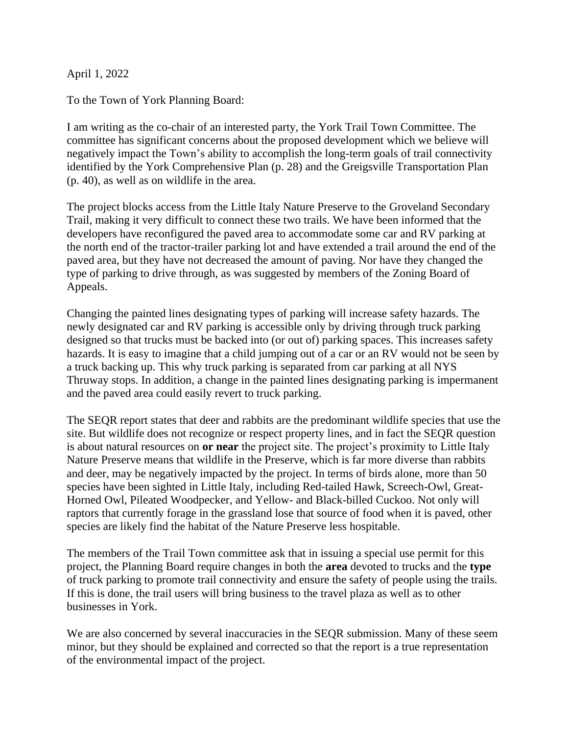April 1, 2022

To the Town of York Planning Board:

I am writing as the co-chair of an interested party, the York Trail Town Committee. The committee has significant concerns about the proposed development which we believe will negatively impact the Town's ability to accomplish the long-term goals of trail connectivity identified by the York Comprehensive Plan (p. 28) and the Greigsville Transportation Plan (p. 40), as well as on wildlife in the area.

The project blocks access from the Little Italy Nature Preserve to the Groveland Secondary Trail, making it very difficult to connect these two trails. We have been informed that the developers have reconfigured the paved area to accommodate some car and RV parking at the north end of the tractor-trailer parking lot and have extended a trail around the end of the paved area, but they have not decreased the amount of paving. Nor have they changed the type of parking to drive through, as was suggested by members of the Zoning Board of Appeals.

Changing the painted lines designating types of parking will increase safety hazards. The newly designated car and RV parking is accessible only by driving through truck parking designed so that trucks must be backed into (or out of) parking spaces. This increases safety hazards. It is easy to imagine that a child jumping out of a car or an RV would not be seen by a truck backing up. This why truck parking is separated from car parking at all NYS Thruway stops. In addition, a change in the painted lines designating parking is impermanent and the paved area could easily revert to truck parking.

The SEQR report states that deer and rabbits are the predominant wildlife species that use the site. But wildlife does not recognize or respect property lines, and in fact the SEQR question is about natural resources on **or near** the project site. The project's proximity to Little Italy Nature Preserve means that wildlife in the Preserve, which is far more diverse than rabbits and deer, may be negatively impacted by the project. In terms of birds alone, more than 50 species have been sighted in Little Italy, including Red-tailed Hawk, Screech-Owl, Great-Horned Owl, Pileated Woodpecker, and Yellow- and Black-billed Cuckoo. Not only will raptors that currently forage in the grassland lose that source of food when it is paved, other species are likely find the habitat of the Nature Preserve less hospitable.

The members of the Trail Town committee ask that in issuing a special use permit for this project, the Planning Board require changes in both the **area** devoted to trucks and the **type** of truck parking to promote trail connectivity and ensure the safety of people using the trails. If this is done, the trail users will bring business to the travel plaza as well as to other businesses in York.

We are also concerned by several inaccuracies in the SEQR submission. Many of these seem minor, but they should be explained and corrected so that the report is a true representation of the environmental impact of the project.